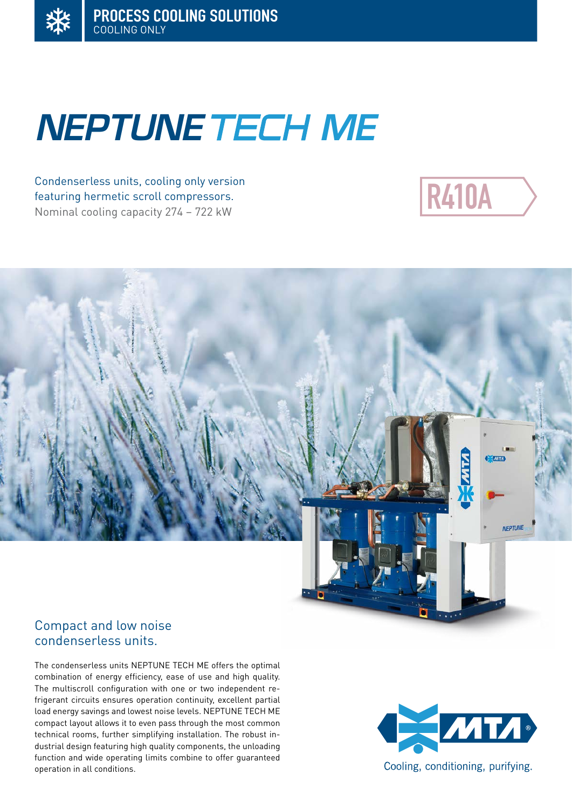# **NEPTUNE TECH ME**

Condenserless units, cooling only version featuring hermetic scroll compressors. Nominal cooling capacity 274 – 722 kW





# Compact and low noise condenserless units.

The condenserless units NEPTUNE TECH ME offers the optimal combination of energy efficiency, ease of use and high quality. The multiscroll configuration with one or two independent refrigerant circuits ensures operation continuity, excellent partial load energy savings and lowest noise levels. NEPTUNE TECH ME compact layout allows it to even pass through the most common technical rooms, further simplifying installation. The robust industrial design featuring high quality components, the unloading function and wide operating limits combine to offer guaranteed operation in all conditions.